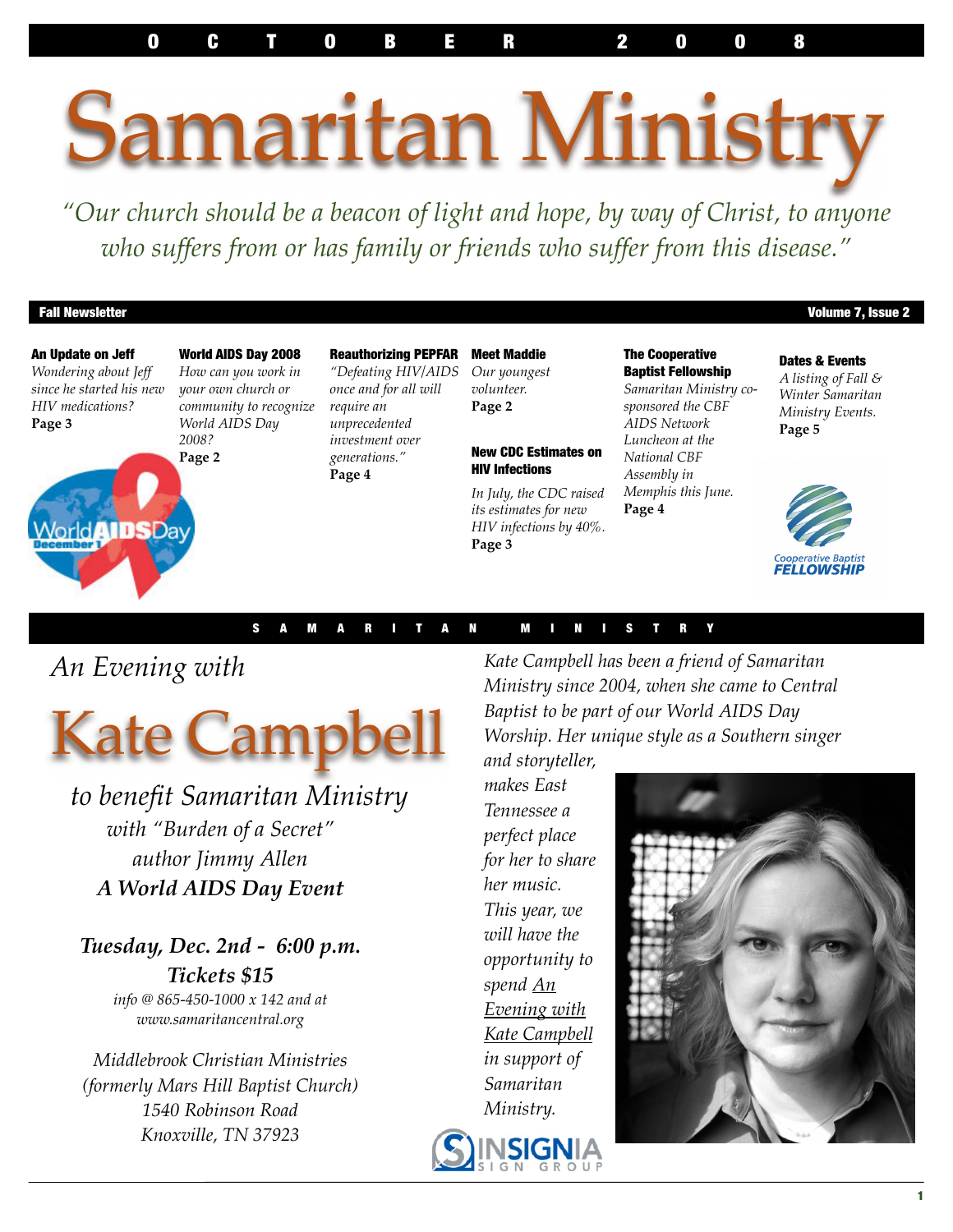O C T O B E R 2 0 0 8

# Samaritan Ministry

*"Our church should be a beacon of light and hope, by way of Christ, to anyone who suffers from or has family or friends who suffer from this disease."*

#### Fall Newsletter **Newsletter** 2

An Update on Jeff *Wondering about Jeff since he started his new HIV medications?* **Page 3**

World**AIDSD**av

World AIDS Day 2008 *How can you work in your own church or community to recognize World AIDS Day 2008?*

**Page 2**

Reauthorizing PEPFAR *"Defeating HIV/AIDS once and for all will require an unprecedented investment over generations."* **Page 4**

Meet Maddie *Our youngest volunteer.* **Page 2** 

#### New CDC Estimates on HIV Infections

*In July, the CDC raised its estimates for new HIV infections by 40%.* **Page 3**

The Cooperative Baptist Fellowship *Samaritan Ministry cosponsored the CBF AIDS Network Luncheon at the National CBF Assembly in* 

*Memphis this June.* 

**Page 4**

Dates & Events *A listing of Fall & Winter Samaritan Ministry Events.* **Page 5**



#### S A M A R I T A N M I N I S T R Y

 *An Evening with* 



 *to benefit Samaritan Ministry with "Burden of a Secret" author Jimmy Allen A World AIDS Day Event*

*Tuesday, Dec. 2nd - 6:00 p.m. Tickets \$15 info @ 865-450-1000 x 142 and at www.samaritancentral.org*

*Middlebrook Christian Ministries (formerly Mars Hill Baptist Church) 1540 Robinson Road Knoxville, TN 37923*

*Kate Campbell has been a friend of Samaritan Ministry since 2004, when she came to Central Baptist to be part of our World AIDS Day Worship. Her unique style as a Southern singer and storyteller,* 

*makes East Tennessee a perfect place for her to share her music. This year, we will have the opportunity to spend An Evening with Kate Campbell in support of Samaritan Ministry.*



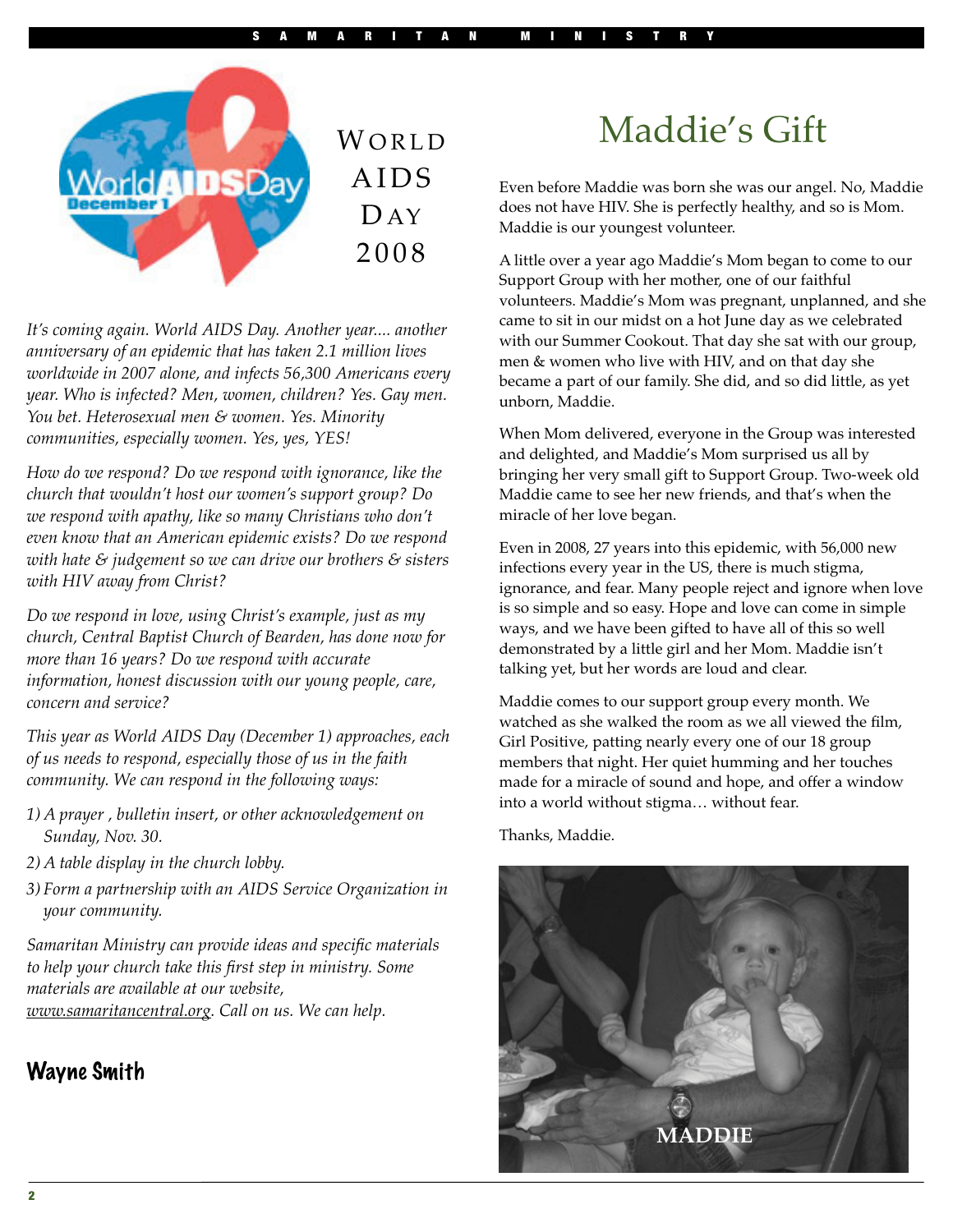

**WORLD AIDS**  $\Gamma$  AY 2 0 0 8

*It's coming again. World AIDS Day. Another year.... another anniversary of an epidemic that has taken 2.1 million lives worldwide in 2007 alone, and infects 56,300 Americans every year. Who is infected? Men, women, children? Yes. Gay men. You bet. Heterosexual men & women. Yes. Minority communities, especially women. Yes, yes, YES!*

*How do we respond? Do we respond with ignorance, like the church that wouldn't host our women's support group? Do we respond with apathy, like so many Christians who don't even know that an American epidemic exists? Do we respond with hate & judgement so we can drive our brothers & sisters with HIV away from Christ?* 

*Do we respond in love, using Christ's example, just as my church, Central Baptist Church of Bearden, has done now for more than 16 years? Do we respond with accurate information, honest discussion with our young people, care, concern and service?*

*This year as World AIDS Day (December 1) approaches, each of us needs to respond, especially those of us in the faith community. We can respond in the following ways:*

- *1) A prayer , bulletin insert, or other acknowledgement on Sunday, Nov. 30.*
- *2) A table display in the church lobby.*
- *3) Form a partnership with an AIDS Service Organization in your community.*

*Samaritan Ministry can provide ideas and specific materials to help your church take this first step in ministry. Some materials are available at our website, www.samaritancentral.org. Call on us. We can help.*

#### Wayne Smith

# Maddie's Gift

Even before Maddie was born she was our angel. No, Maddie does not have HIV. She is perfectly healthy, and so is Mom. Maddie is our youngest volunteer.

A little over a year ago Maddie's Mom began to come to our Support Group with her mother, one of our faithful volunteers. Maddie's Mom was pregnant, unplanned, and she came to sit in our midst on a hot June day as we celebrated with our Summer Cookout. That day she sat with our group, men & women who live with HIV, and on that day she became a part of our family. She did, and so did little, as yet unborn, Maddie.

When Mom delivered, everyone in the Group was interested and delighted, and Maddie's Mom surprised us all by bringing her very small gift to Support Group. Two-week old Maddie came to see her new friends, and that's when the miracle of her love began.

Even in 2008, 27 years into this epidemic, with 56,000 new infections every year in the US, there is much stigma, ignorance, and fear. Many people reject and ignore when love is so simple and so easy. Hope and love can come in simple ways, and we have been gifted to have all of this so well demonstrated by a little girl and her Mom. Maddie isn't talking yet, but her words are loud and clear.

Maddie comes to our support group every month. We watched as she walked the room as we all viewed the film, Girl Positive, patting nearly every one of our 18 group members that night. Her quiet humming and her touches made for a miracle of sound and hope, and offer a window into a world without stigma… without fear.

Thanks, Maddie.

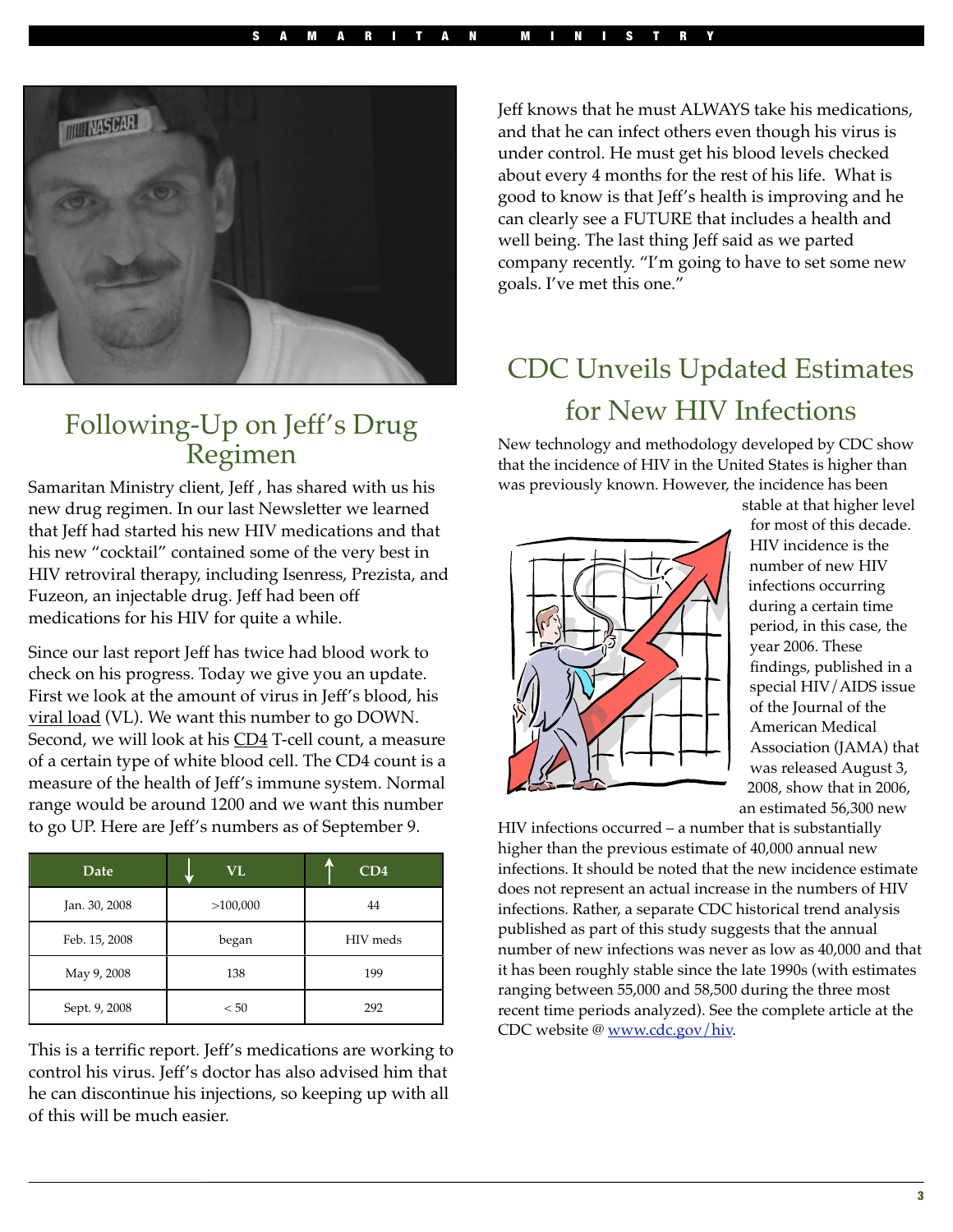

#### Following-Up on Jeff's Drug Regimen

Samaritan Ministry client, Jeff , has shared with us his new drug regimen. In our last Newsletter we learned that Jeff had started his new HIV medications and that his new "cocktail" contained some of the very best in HIV retroviral therapy, including Isenress, Prezista, and Fuzeon, an injectable drug. Jeff had been off medications for his HIV for quite a while.

Since our last report Jeff has twice had blood work to check on his progress. Today we give you an update. First we look at the amount of virus in Jeff's blood, his viral load (VL). We want this number to go DOWN. Second, we will look at his CD4 T-cell count, a measure of a certain type of white blood cell. The CD4 count is a measure of the health of Jeff's immune system. Normal range would be around 1200 and we want this number to go UP. Here are Jeff's numbers as of September 9.

| Date          | <b>VL</b> | CD4      |
|---------------|-----------|----------|
| Jan. 30, 2008 | >100,000  | 44       |
| Feb. 15, 2008 | began     | HIV meds |
| May 9, 2008   | 138       | 199      |
| Sept. 9, 2008 | < 50      | 292      |

This is a terrific report. Jeff's medications are working to control his virus. Jeff's doctor has also advised him that he can discontinue his injections, so keeping up with all of this will be much easier.

Jeff knows that he must ALWAYS take his medications, and that he can infect others even though his virus is under control. He must get his blood levels checked about every 4 months for the rest of his life. What is good to know is that Jeff's health is improving and he can clearly see a FUTURE that includes a health and well being. The last thing Jeff said as we parted company recently. "I'm going to have to set some new goals. I've met this one."

### CDC Unveils Updated Estimates for New HIV Infections

New technology and methodology developed by CDC show that the incidence of HIV in the United States is higher than was previously known. However, the incidence has been



stable at that higher level for most of this decade. HIV incidence is the number of new HIV infections occurring during a certain time period, in this case, the year 2006. These findings, published in a special HIV/AIDS issue of the Journal of the American Medical Association (JAMA) that was released August 3, 2008, show that in 2006, an estimated 56,300 new

HIV infections occurred – a number that is substantially higher than the previous estimate of 40,000 annual new infections. It should be noted that the new incidence estimate does not represent an actual increase in the numbers of HIV infections. Rather, a separate CDC historical trend analysis published as part of this study suggests that the annual number of new infections was never as low as 40,000 and that it has been roughly stable since the late 1990s (with estimates ranging between 55,000 and 58,500 during the three most recent time periods analyzed). See the complete article at the CDC website @ www.cdc.gov/hiv.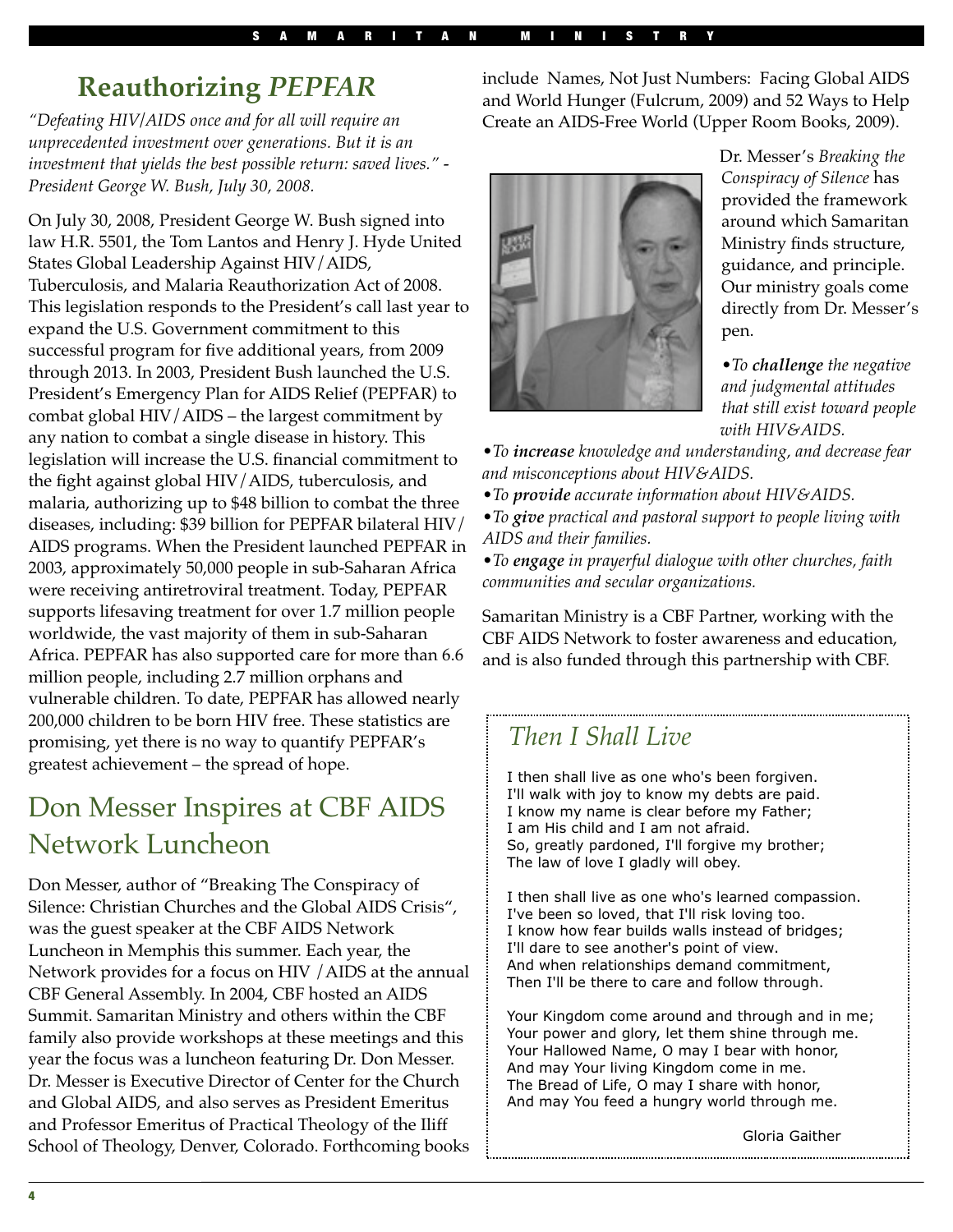### **Reauthorizing** *PEPFAR*

*"Defeating HIV/AIDS once and for all will require an unprecedented investment over generations. But it is an investment that yields the best possible return: saved lives." - President George W. Bush, July 30, 2008.*

On July 30, 2008, President George W. Bush signed into law H.R. 5501, the Tom Lantos and Henry J. Hyde United States Global Leadership Against HIV/AIDS, Tuberculosis, and Malaria Reauthorization Act of 2008. This legislation responds to the President's call last year to expand the U.S. Government commitment to this successful program for five additional years, from 2009 through 2013. In 2003, President Bush launched the U.S. President's Emergency Plan for AIDS Relief (PEPFAR) to combat global HIV/AIDS – the largest commitment by any nation to combat a single disease in history. This legislation will increase the U.S. financial commitment to the fight against global HIV/AIDS, tuberculosis, and malaria, authorizing up to \$48 billion to combat the three diseases, including: \$39 billion for PEPFAR bilateral HIV/ AIDS programs. When the President launched PEPFAR in 2003, approximately 50,000 people in sub-Saharan Africa were receiving antiretroviral treatment. Today, PEPFAR supports lifesaving treatment for over 1.7 million people worldwide, the vast majority of them in sub-Saharan Africa. PEPFAR has also supported care for more than 6.6 million people, including 2.7 million orphans and vulnerable children. To date, PEPFAR has allowed nearly 200,000 children to be born HIV free. These statistics are promising, yet there is no way to quantify PEPFAR's greatest achievement – the spread of hope.

### Don Messer Inspires at CBF AIDS Network Luncheon

Don Messer, author of "Breaking The Conspiracy of Silence: Christian Churches and the Global AIDS Crisis", was the guest speaker at the CBF AIDS Network Luncheon in Memphis this summer. Each year, the Network provides for a focus on HIV /AIDS at the annual CBF General Assembly. In 2004, CBF hosted an AIDS Summit. Samaritan Ministry and others within the CBF family also provide workshops at these meetings and this year the focus was a luncheon featuring Dr. Don Messer. Dr. Messer is Executive Director of Center for the Church and Global AIDS, and also serves as President Emeritus and Professor Emeritus of Practical Theology of the Iliff School of Theology, Denver, Colorado. Forthcoming books

include Names, Not Just Numbers: Facing Global AIDS and World Hunger (Fulcrum, 2009) and 52 Ways to Help Create an AIDS-Free World (Upper Room Books, 2009).



Dr. Messer's *Breaking the Conspiracy of Silence* has provided the framework around which Samaritan Ministry finds structure, guidance, and principle. Our ministry goals come directly from Dr. Messer's pen.

•*To challenge the negative and judgmental attitudes that still exist toward people with HIV&AIDS.*

•*To increase knowledge and understanding, and decrease fear and misconceptions about HIV&AIDS.*

•*To provide accurate information about HIV&AIDS.*

•*To give practical and pastoral support to people living with AIDS and their families.*

•*To engage in prayerful dialogue with other churches, faith communities and secular organizations.*

Samaritan Ministry is a CBF Partner, working with the CBF AIDS Network to foster awareness and education, and is also funded through this partnership with CBF.

#### *Then I Shall Live*

 I then shall live as one who's been forgiven. I'll walk with joy to know my debts are paid. I know my name is clear before my Father; I am His child and I am not afraid. So, greatly pardoned, I'll forgive my brother; The law of love I gladly will obey.

 I then shall live as one who's learned compassion. I've been so loved, that I'll risk loving too. I know how fear builds walls instead of bridges; I'll dare to see another's point of view. And when relationships demand commitment, Then I'll be there to care and follow through.

 Your Kingdom come around and through and in me; Your power and glory, let them shine through me. Your Hallowed Name, O may I bear with honor, And may Your living Kingdom come in me. The Bread of Life, O may I share with honor, And may You feed a hungry world through me.

Gloria Gaither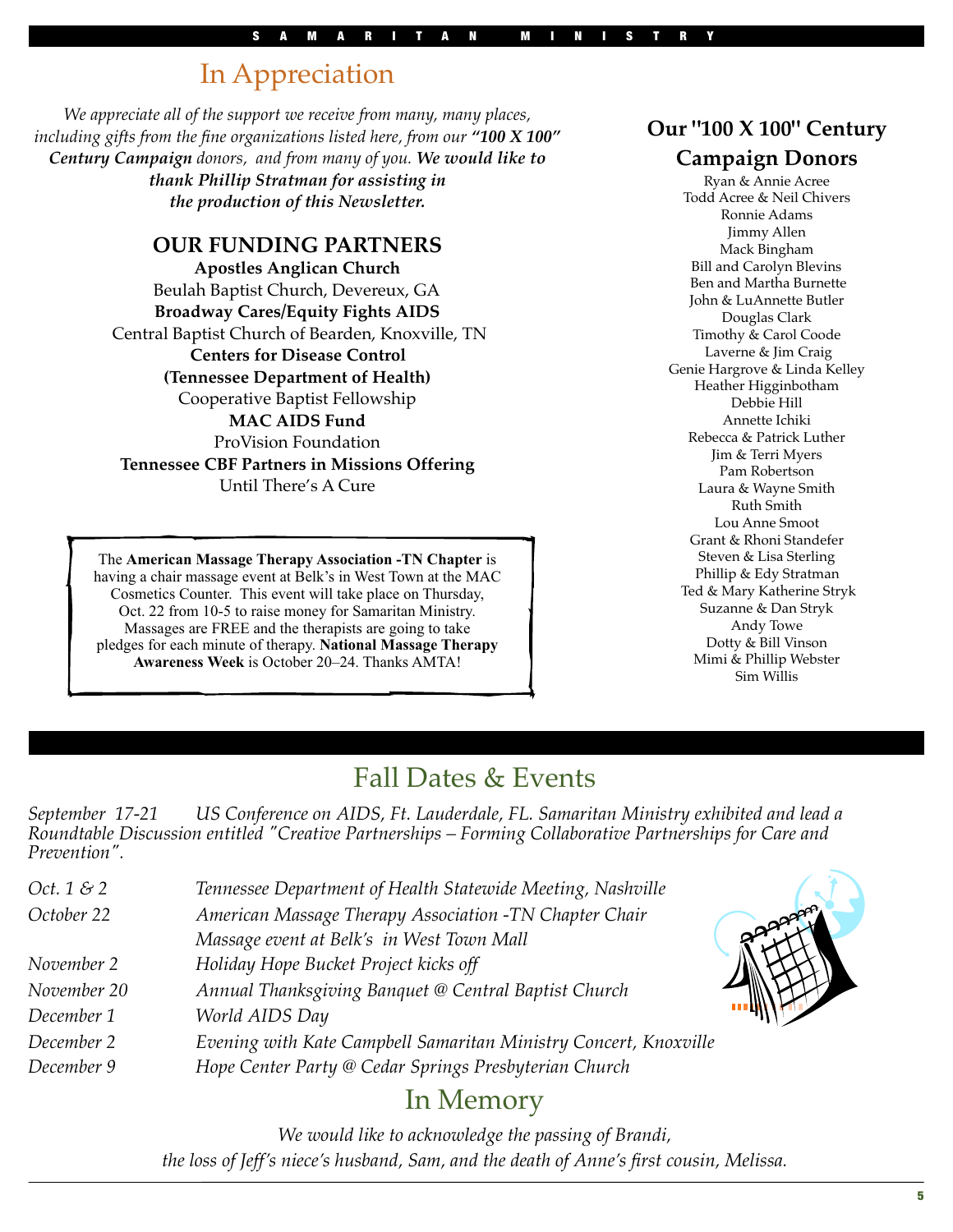### In Appreciation

*We appreciate all of the support we receive from many, many places, including gifts from the fine organizations listed here, from our "100 X 100" Century Campaign donors, and from many of you. We would like to thank Phillip Stratman for assisting in the production of this Newsletter.*

#### **OUR FUNDING PARTNERS**

**Apostles Anglican Church** Beulah Baptist Church, Devereux, GA **Broadway Cares/Equity Fights AIDS** Central Baptist Church of Bearden, Knoxville, TN **Centers for Disease Control (Tennessee Department of Health)** Cooperative Baptist Fellowship **MAC AIDS Fund** ProVision Foundation **Tennessee CBF Partners in Missions Offering** Until There's A Cure

The **American Massage Therapy Association -TN Chapter** is having a chair massage event at Belk's in West Town at the MAC Cosmetics Counter. This event will take place on Thursday, Oct. 22 from 10-5 to raise money for Samaritan Ministry. Massages are FREE and the therapists are going to take pledges for each minute of therapy. **National Massage Therapy Awareness Week** is October 20–24. Thanks AMTA!

#### **Our "100 X 100" Century**

#### **Campaign Donors**

Ryan & Annie Acree Todd Acree & Neil Chivers Ronnie Adams Jimmy Allen Mack Bingham Bill and Carolyn Blevins Ben and Martha Burnette John & LuAnnette Butler Douglas Clark Timothy & Carol Coode Laverne & Jim Craig Genie Hargrove & Linda Kelley Heather Higginbotham Debbie Hill Annette Ichiki Rebecca & Patrick Luther Jim & Terri Myers Pam Robertson Laura & Wayne Smith Ruth Smith Lou Anne Smoot Grant & Rhoni Standefer Steven & Lisa Sterling Phillip & Edy Stratman Ted & Mary Katherine Stryk Suzanne & Dan Stryk Andy Towe Dotty & Bill Vinson Mimi & Phillip Webster Sim Willis

### Fall Dates & Events

*September 17-21 US Conference on AIDS, Ft. Lauderdale, FL. Samaritan Ministry exhibited and lead a Roundtable Discussion entitled "Creative Partnerships – Forming Collaborative Partnerships for Care and Prevention".*

| Tennessee Department of Health Statewide Meeting, Nashville      |
|------------------------------------------------------------------|
| American Massage Therapy Association -TN Chapter Chair           |
| Massage event at Belk's in West Town Mall                        |
| Holiday Hope Bucket Project kicks off                            |
| Annual Thanksgiving Banquet @ Central Baptist Church             |
| World AIDS Day                                                   |
| Evening with Kate Campbell Samaritan Ministry Concert, Knoxville |
| Hope Center Party @ Cedar Springs Presbyterian Church            |
|                                                                  |

### In Memory

*We would like to acknowledge the passing of Brandi, the loss of Jeff's niece's husband, Sam, and the death of Anne's first cousin, Melissa.*